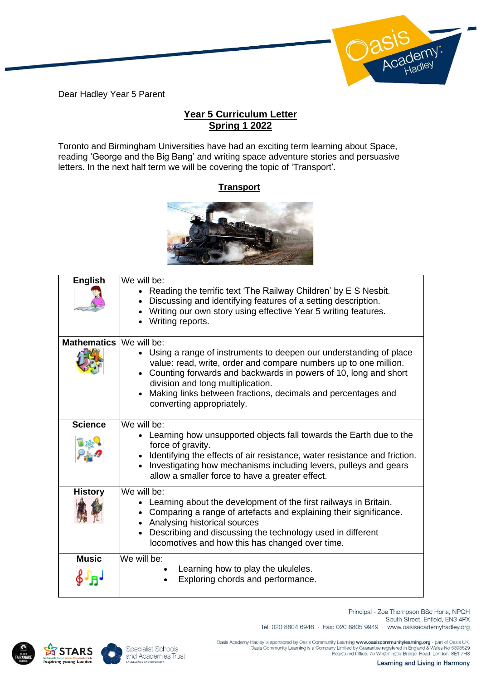Dear Hadley Year 5 Parent

## **Year 5 Curriculum Letter Spring 1 2022**

Toronto and Birmingham Universities have had an exciting term learning about Space, reading 'George and the Big Bang' and writing space adventure stories and persuasive letters. In the next half term we will be covering the topic of 'Transport'.

## **Transport**



| <b>English</b>     | We will be:<br>• Reading the terrific text 'The Railway Children' by E S Nesbit.<br>Discussing and identifying features of a setting description.<br>Writing our own story using effective Year 5 writing features.<br>Writing reports.                                                                                                                     |
|--------------------|-------------------------------------------------------------------------------------------------------------------------------------------------------------------------------------------------------------------------------------------------------------------------------------------------------------------------------------------------------------|
| <b>Mathematics</b> | We will be:<br>• Using a range of instruments to deepen our understanding of place<br>value: read, write, order and compare numbers up to one million.<br>Counting forwards and backwards in powers of 10, long and short<br>division and long multiplication.<br>Making links between fractions, decimals and percentages and<br>converting appropriately. |
| <b>Science</b>     | We will be:<br>• Learning how unsupported objects fall towards the Earth due to the<br>force of gravity.<br>Identifying the effects of air resistance, water resistance and friction.<br>Investigating how mechanisms including levers, pulleys and gears<br>allow a smaller force to have a greater effect.                                                |
| <b>History</b>     | We will be:<br>• Learning about the development of the first railways in Britain.<br>Comparing a range of artefacts and explaining their significance.<br>• Analysing historical sources<br>Describing and discussing the technology used in different<br>locomotives and how this has changed over time.                                                   |
| <b>Music</b>       | We will be:<br>Learning how to play the ukuleles.<br>Exploring chords and performance.                                                                                                                                                                                                                                                                      |





Tel: 020 8804 6946 · Fax: 020 8805 9949 · www.oasisacademyhadley.org .Oasis Academy Hadley is sponsored by Oasis Community Learning www.oasiscommunitylearning.org - part of Oasis UK<br>Oasis Community Learning is a Company Limited by Guarantee registered in England & Wales No 5398529<br>Registere

South Street, Enfield, EN3 4PX

Principal - Zoë Thompson BSc Hons, NPQH